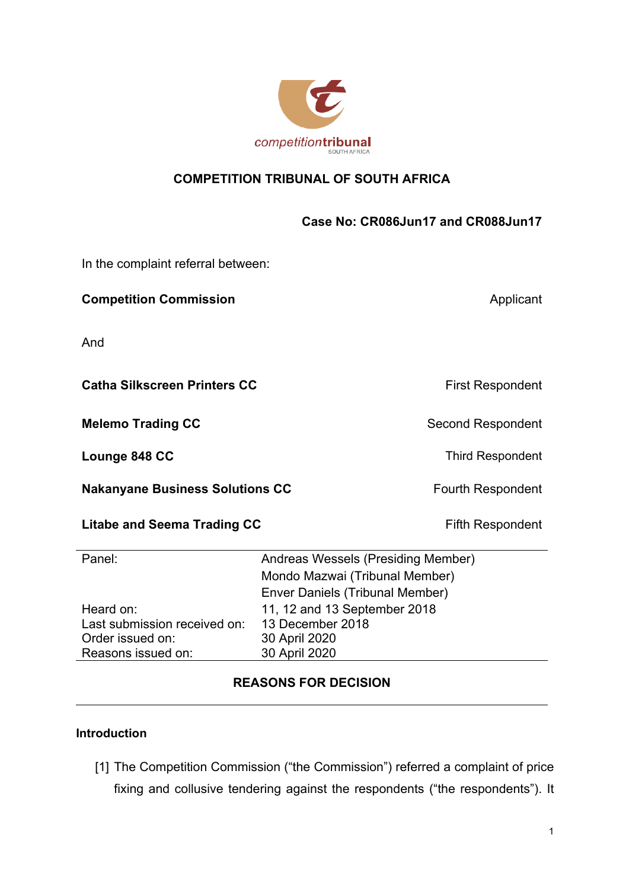

# **COMPETITION TRIBUNAL OF SOUTH AFRICA**

# **Case No: CR086Jun17 and CR088Jun17**

In the complaint referral between:

**Competition Commission Applicant Applicant** 

And

**Catha Silkscreen Printers CC** First Respondent

**Melemo Trading CC** Second Respondent

**Lounge 848 CC** Third Respondent

**Nakanyane Business Solutions CC** Fourth Respondent

#### **Litabe and Seema Trading CC** Fifth Respondent

| Panel:                       | Andreas Wessels (Presiding Member) |
|------------------------------|------------------------------------|
|                              | Mondo Mazwai (Tribunal Member)     |
|                              | Enver Daniels (Tribunal Member)    |
| Heard on:                    | 11, 12 and 13 September 2018       |
| Last submission received on: | 13 December 2018                   |
| Order issued on:             | 30 April 2020                      |
| Reasons issued on:           | 30 April 2020                      |

# **REASONS FOR DECISION**

#### **Introduction**

[1] The Competition Commission ("the Commission") referred a complaint of price fixing and collusive tendering against the respondents ("the respondents"). It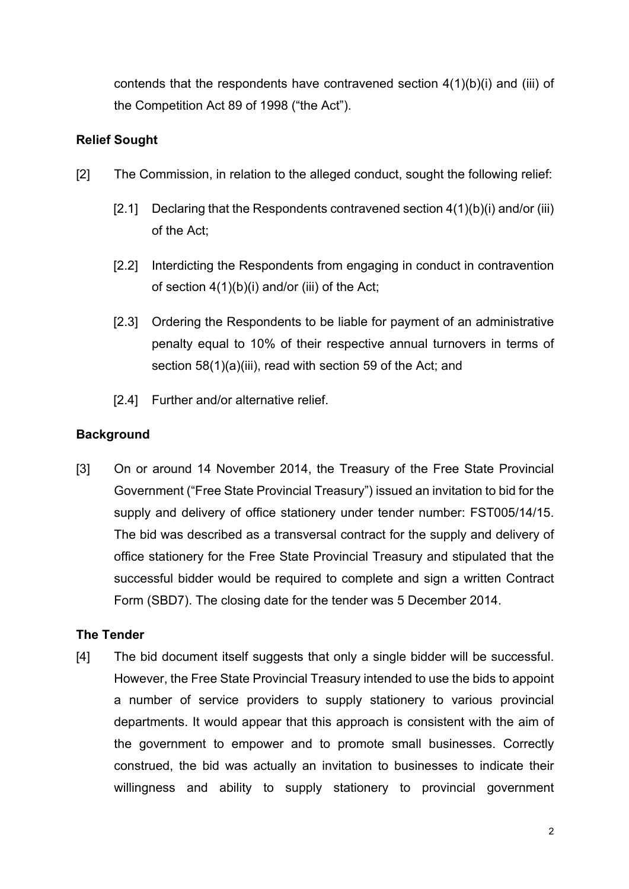contends that the respondents have contravened section 4(1)(b)(i) and (iii) of the Competition Act 89 of 1998 ("the Act").

# **Relief Sought**

- [2] The Commission, in relation to the alleged conduct, sought the following relief:
	- [2.1] Declaring that the Respondents contravened section  $4(1)(b)(i)$  and/or (iii) of the Act;
	- [2.2] Interdicting the Respondents from engaging in conduct in contravention of section 4(1)(b)(i) and/or (iii) of the Act;
	- [2.3] Ordering the Respondents to be liable for payment of an administrative penalty equal to 10% of their respective annual turnovers in terms of section 58(1)(a)(iii), read with section 59 of the Act; and
	- [2.4] Further and/or alternative relief.

# **Background**

[3] On or around 14 November 2014, the Treasury of the Free State Provincial Government ("Free State Provincial Treasury") issued an invitation to bid for the supply and delivery of office stationery under tender number: FST005/14/15. The bid was described as a transversal contract for the supply and delivery of office stationery for the Free State Provincial Treasury and stipulated that the successful bidder would be required to complete and sign a written Contract Form (SBD7). The closing date for the tender was 5 December 2014.

# **The Tender**

[4] The bid document itself suggests that only a single bidder will be successful. However, the Free State Provincial Treasury intended to use the bids to appoint a number of service providers to supply stationery to various provincial departments. It would appear that this approach is consistent with the aim of the government to empower and to promote small businesses. Correctly construed, the bid was actually an invitation to businesses to indicate their willingness and ability to supply stationery to provincial government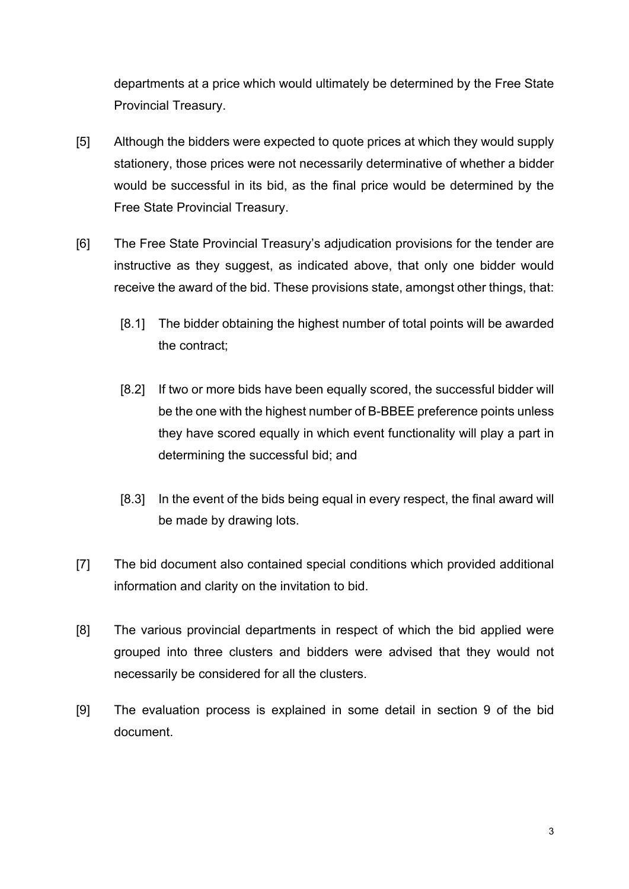departments at a price which would ultimately be determined by the Free State Provincial Treasury.

- [5] Although the bidders were expected to quote prices at which they would supply stationery, those prices were not necessarily determinative of whether a bidder would be successful in its bid, as the final price would be determined by the Free State Provincial Treasury.
- [6] The Free State Provincial Treasury's adjudication provisions for the tender are instructive as they suggest, as indicated above, that only one bidder would receive the award of the bid. These provisions state, amongst other things, that:
	- [8.1] The bidder obtaining the highest number of total points will be awarded the contract;
	- [8.2] If two or more bids have been equally scored, the successful bidder will be the one with the highest number of B-BBEE preference points unless they have scored equally in which event functionality will play a part in determining the successful bid; and
	- [8.3] In the event of the bids being equal in every respect, the final award will be made by drawing lots.
- [7] The bid document also contained special conditions which provided additional information and clarity on the invitation to bid.
- [8] The various provincial departments in respect of which the bid applied were grouped into three clusters and bidders were advised that they would not necessarily be considered for all the clusters.
- [9] The evaluation process is explained in some detail in section 9 of the bid document.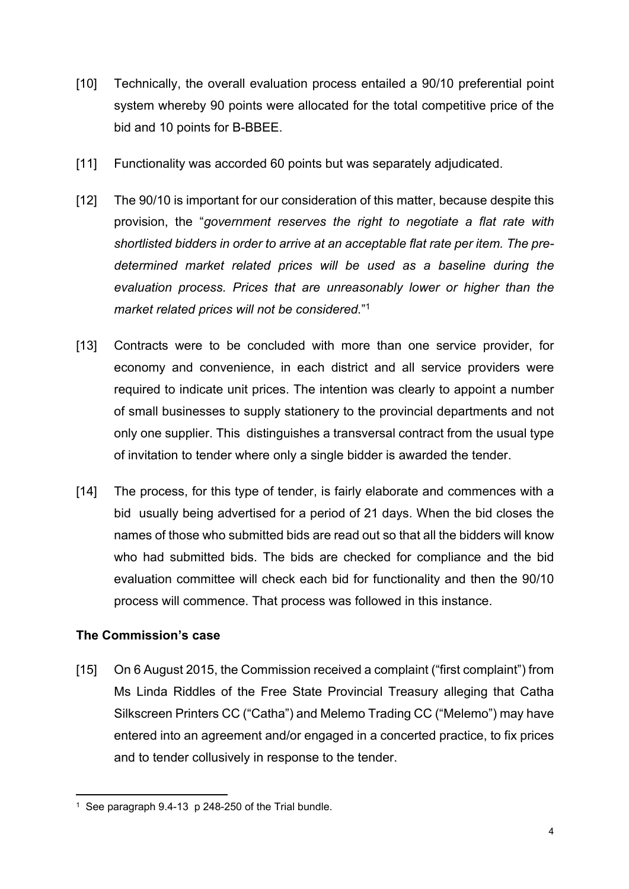- [10] Technically, the overall evaluation process entailed a 90/10 preferential point system whereby 90 points were allocated for the total competitive price of the bid and 10 points for B-BBEE.
- [11] Functionality was accorded 60 points but was separately adjudicated.
- [12] The 90/10 is important for our consideration of this matter, because despite this provision, the "*government reserves the right to negotiate a flat rate with shortlisted bidders in order to arrive at an acceptable flat rate per item. The predetermined market related prices will be used as a baseline during the evaluation process. Prices that are unreasonably lower or higher than the market related prices will not be considered.*" 1
- [13] Contracts were to be concluded with more than one service provider, for economy and convenience, in each district and all service providers were required to indicate unit prices. The intention was clearly to appoint a number of small businesses to supply stationery to the provincial departments and not only one supplier. This distinguishes a transversal contract from the usual type of invitation to tender where only a single bidder is awarded the tender.
- [14] The process, for this type of tender, is fairly elaborate and commences with a bid usually being advertised for a period of 21 days. When the bid closes the names of those who submitted bids are read out so that all the bidders will know who had submitted bids. The bids are checked for compliance and the bid evaluation committee will check each bid for functionality and then the 90/10 process will commence. That process was followed in this instance.

# **The Commission's case**

[15] On 6 August 2015, the Commission received a complaint ("first complaint") from Ms Linda Riddles of the Free State Provincial Treasury alleging that Catha Silkscreen Printers CC ("Catha") and Melemo Trading CC ("Melemo") may have entered into an agreement and/or engaged in a concerted practice, to fix prices and to tender collusively in response to the tender.

<sup>1</sup> See paragraph 9.4-13 p 248-250 of the Trial bundle.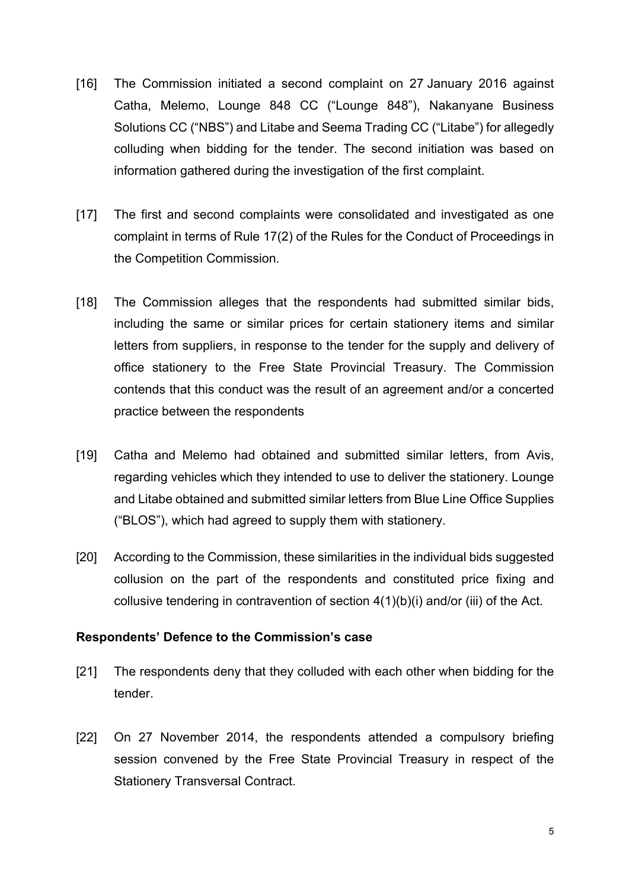- [16] The Commission initiated a second complaint on 27 January 2016 against Catha, Melemo, Lounge 848 CC ("Lounge 848"), Nakanyane Business Solutions CC ("NBS") and Litabe and Seema Trading CC ("Litabe") for allegedly colluding when bidding for the tender. The second initiation was based on information gathered during the investigation of the first complaint.
- [17] The first and second complaints were consolidated and investigated as one complaint in terms of Rule 17(2) of the Rules for the Conduct of Proceedings in the Competition Commission.
- [18] The Commission alleges that the respondents had submitted similar bids, including the same or similar prices for certain stationery items and similar letters from suppliers, in response to the tender for the supply and delivery of office stationery to the Free State Provincial Treasury. The Commission contends that this conduct was the result of an agreement and/or a concerted practice between the respondents
- [19] Catha and Melemo had obtained and submitted similar letters, from Avis, regarding vehicles which they intended to use to deliver the stationery. Lounge and Litabe obtained and submitted similar letters from Blue Line Office Supplies ("BLOS"), which had agreed to supply them with stationery.
- [20] According to the Commission, these similarities in the individual bids suggested collusion on the part of the respondents and constituted price fixing and collusive tendering in contravention of section 4(1)(b)(i) and/or (iii) of the Act.

#### **Respondents' Defence to the Commission's case**

- [21] The respondents deny that they colluded with each other when bidding for the tender.
- [22] On 27 November 2014, the respondents attended a compulsory briefing session convened by the Free State Provincial Treasury in respect of the Stationery Transversal Contract.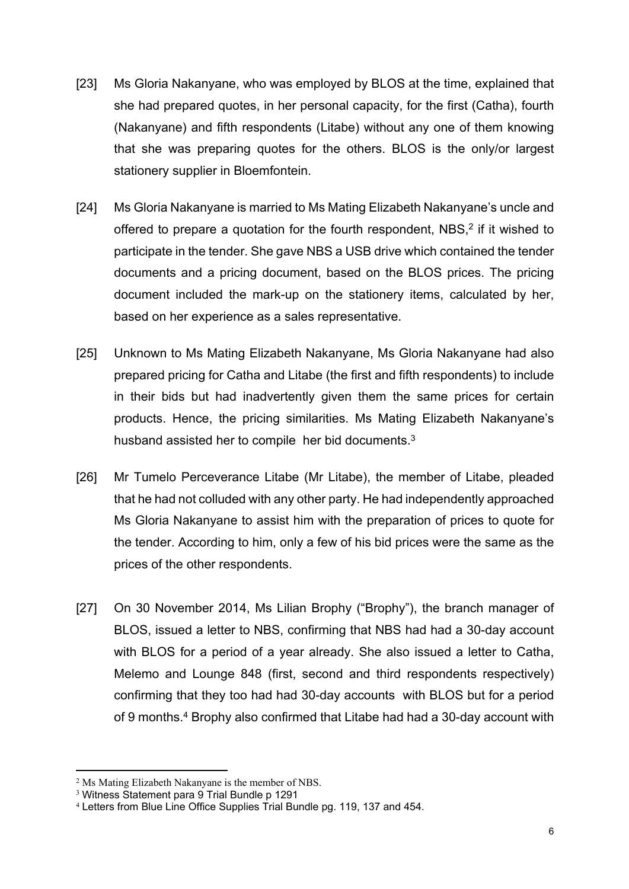- [23] Ms Gloria Nakanyane, who was employed by BLOS at the time, explained that she had prepared quotes, in her personal capacity, for the first (Catha), fourth (Nakanyane) and fifth respondents (Litabe) without any one of them knowing that she was preparing quotes for the others. BLOS is the only/or largest stationery supplier in Bloemfontein.
- [24] Ms Gloria Nakanyane is married to Ms Mating Elizabeth Nakanyane's uncle and offered to prepare a quotation for the fourth respondent, NBS,<sup>2</sup> if it wished to participate in the tender. She gave NBS a USB drive which contained the tender documents and a pricing document, based on the BLOS prices. The pricing document included the mark-up on the stationery items, calculated by her, based on her experience as a sales representative.
- [25] Unknown to Ms Mating Elizabeth Nakanyane, Ms Gloria Nakanyane had also prepared pricing for Catha and Litabe (the first and fifth respondents) to include in their bids but had inadvertently given them the same prices for certain products. Hence, the pricing similarities. Ms Mating Elizabeth Nakanyane's husband assisted her to compile her bid documents.<sup>3</sup>
- [26] Mr Tumelo Perceverance Litabe (Mr Litabe), the member of Litabe, pleaded that he had not colluded with any other party. He had independently approached Ms Gloria Nakanyane to assist him with the preparation of prices to quote for the tender. According to him, only a few of his bid prices were the same as the prices of the other respondents.
- [27] On 30 November 2014, Ms Lilian Brophy ("Brophy"), the branch manager of BLOS, issued a letter to NBS, confirming that NBS had had a 30-day account with BLOS for a period of a year already. She also issued a letter to Catha, Melemo and Lounge 848 (first, second and third respondents respectively) confirming that they too had had 30-day accounts with BLOS but for a period of 9 months.<sup>4</sup> Brophy also confirmed that Litabe had had a 30-day account with

<sup>2</sup> Ms Mating Elizabeth Nakanyane is the member of NBS.

<sup>3</sup> Witness Statement para 9 Trial Bundle p 1291

<sup>4</sup> Letters from Blue Line Office Supplies Trial Bundle pg. 119, 137 and 454.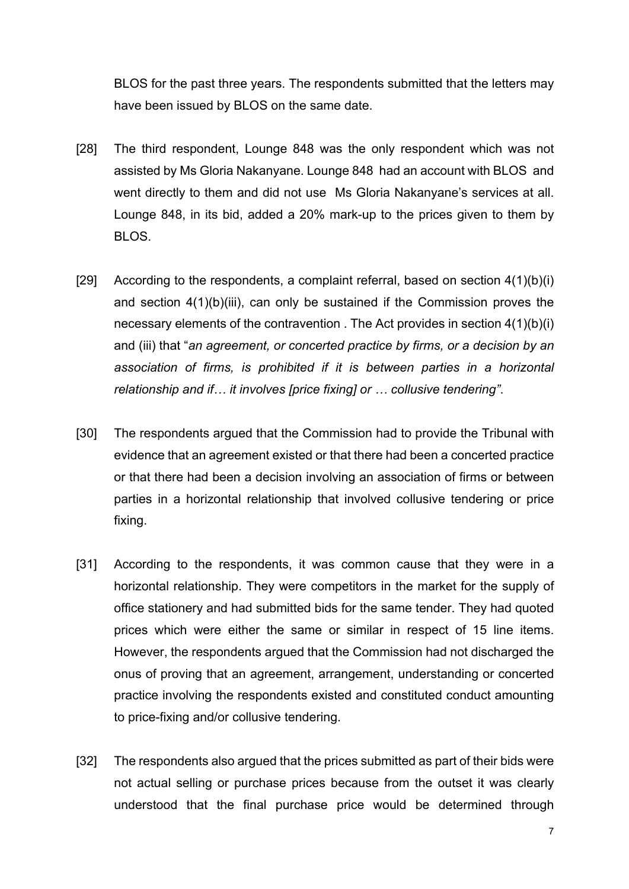BLOS for the past three years. The respondents submitted that the letters may have been issued by BLOS on the same date.

- [28] The third respondent, Lounge 848 was the only respondent which was not assisted by Ms Gloria Nakanyane. Lounge 848 had an account with BLOS and went directly to them and did not use Ms Gloria Nakanyane's services at all. Lounge 848, in its bid, added a 20% mark-up to the prices given to them by BLOS.
- [29] According to the respondents, a complaint referral, based on section  $4(1)(b)(i)$ and section 4(1)(b)(iii), can only be sustained if the Commission proves the necessary elements of the contravention . The Act provides in section 4(1)(b)(i) and (iii) that "*an agreement, or concerted practice by firms, or a decision by an association of firms, is prohibited if it is between parties in a horizontal relationship and if… it involves [price fixing] or … collusive tendering"*.
- [30] The respondents argued that the Commission had to provide the Tribunal with evidence that an agreement existed or that there had been a concerted practice or that there had been a decision involving an association of firms or between parties in a horizontal relationship that involved collusive tendering or price fixing.
- [31] According to the respondents, it was common cause that they were in a horizontal relationship. They were competitors in the market for the supply of office stationery and had submitted bids for the same tender. They had quoted prices which were either the same or similar in respect of 15 line items. However, the respondents argued that the Commission had not discharged the onus of proving that an agreement, arrangement, understanding or concerted practice involving the respondents existed and constituted conduct amounting to price-fixing and/or collusive tendering.
- [32] The respondents also argued that the prices submitted as part of their bids were not actual selling or purchase prices because from the outset it was clearly understood that the final purchase price would be determined through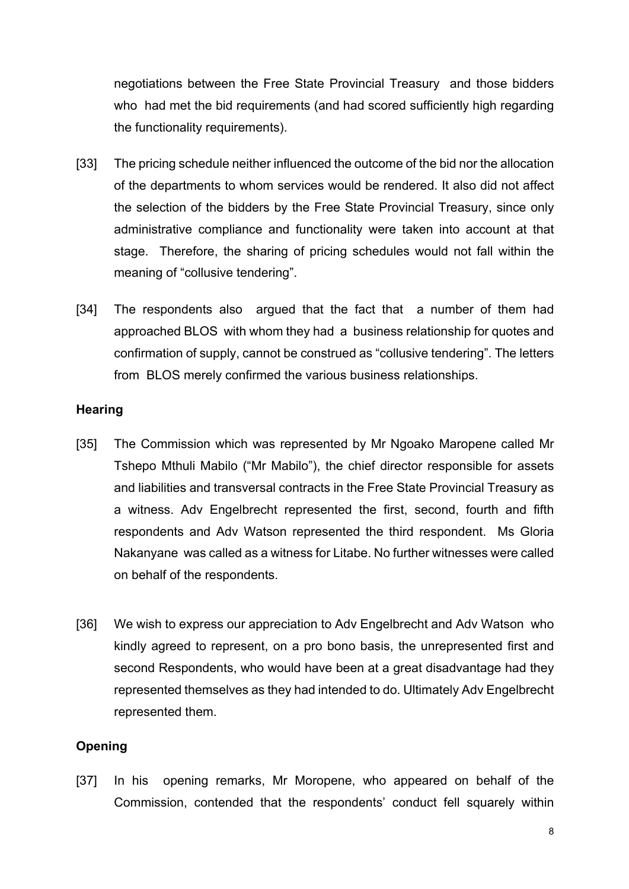negotiations between the Free State Provincial Treasury and those bidders who had met the bid requirements (and had scored sufficiently high regarding the functionality requirements).

- [33] The pricing schedule neither influenced the outcome of the bid nor the allocation of the departments to whom services would be rendered. It also did not affect the selection of the bidders by the Free State Provincial Treasury, since only administrative compliance and functionality were taken into account at that stage. Therefore, the sharing of pricing schedules would not fall within the meaning of "collusive tendering".
- [34] The respondents also argued that the fact that a number of them had approached BLOS with whom they had a business relationship for quotes and confirmation of supply, cannot be construed as "collusive tendering". The letters from BLOS merely confirmed the various business relationships.

#### **Hearing**

- [35] The Commission which was represented by Mr Ngoako Maropene called Mr Tshepo Mthuli Mabilo ("Mr Mabilo"), the chief director responsible for assets and liabilities and transversal contracts in the Free State Provincial Treasury as a witness. Adv Engelbrecht represented the first, second, fourth and fifth respondents and Adv Watson represented the third respondent. Ms Gloria Nakanyane was called as a witness for Litabe. No further witnesses were called on behalf of the respondents.
- [36] We wish to express our appreciation to Adv Engelbrecht and Adv Watson who kindly agreed to represent, on a pro bono basis, the unrepresented first and second Respondents, who would have been at a great disadvantage had they represented themselves as they had intended to do. Ultimately Adv Engelbrecht represented them.

# **Opening**

[37] In his opening remarks, Mr Moropene, who appeared on behalf of the Commission, contended that the respondents' conduct fell squarely within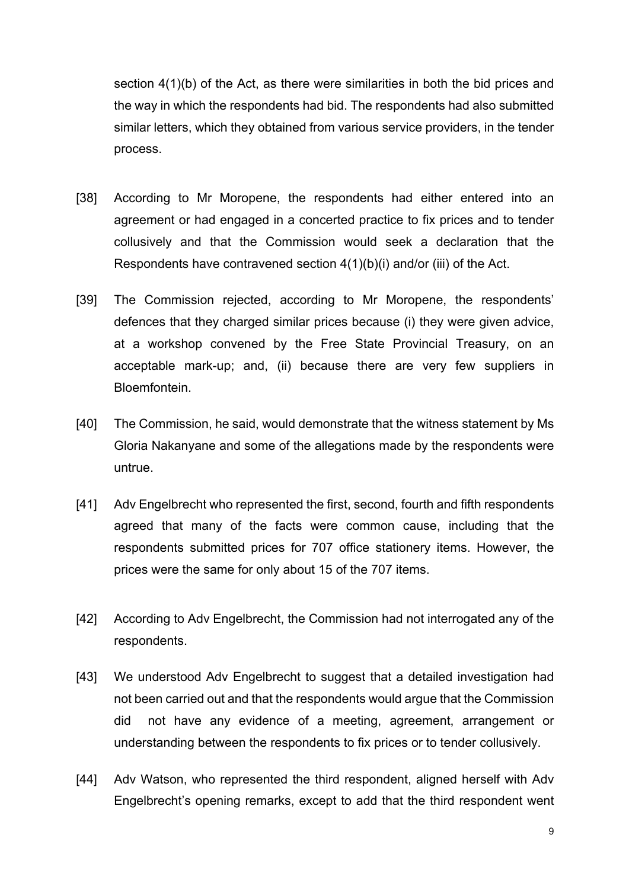section 4(1)(b) of the Act, as there were similarities in both the bid prices and the way in which the respondents had bid. The respondents had also submitted similar letters, which they obtained from various service providers, in the tender process.

- [38] According to Mr Moropene, the respondents had either entered into an agreement or had engaged in a concerted practice to fix prices and to tender collusively and that the Commission would seek a declaration that the Respondents have contravened section 4(1)(b)(i) and/or (iii) of the Act.
- [39] The Commission rejected, according to Mr Moropene, the respondents' defences that they charged similar prices because (i) they were given advice, at a workshop convened by the Free State Provincial Treasury, on an acceptable mark-up; and, (ii) because there are very few suppliers in Bloemfontein.
- [40] The Commission, he said, would demonstrate that the witness statement by Ms Gloria Nakanyane and some of the allegations made by the respondents were untrue.
- [41] Adv Engelbrecht who represented the first, second, fourth and fifth respondents agreed that many of the facts were common cause, including that the respondents submitted prices for 707 office stationery items. However, the prices were the same for only about 15 of the 707 items.
- [42] According to Adv Engelbrecht, the Commission had not interrogated any of the respondents.
- [43] We understood Adv Engelbrecht to suggest that a detailed investigation had not been carried out and that the respondents would argue that the Commission did not have any evidence of a meeting, agreement, arrangement or understanding between the respondents to fix prices or to tender collusively.
- [44] Adv Watson, who represented the third respondent, aligned herself with Adv Engelbrecht's opening remarks, except to add that the third respondent went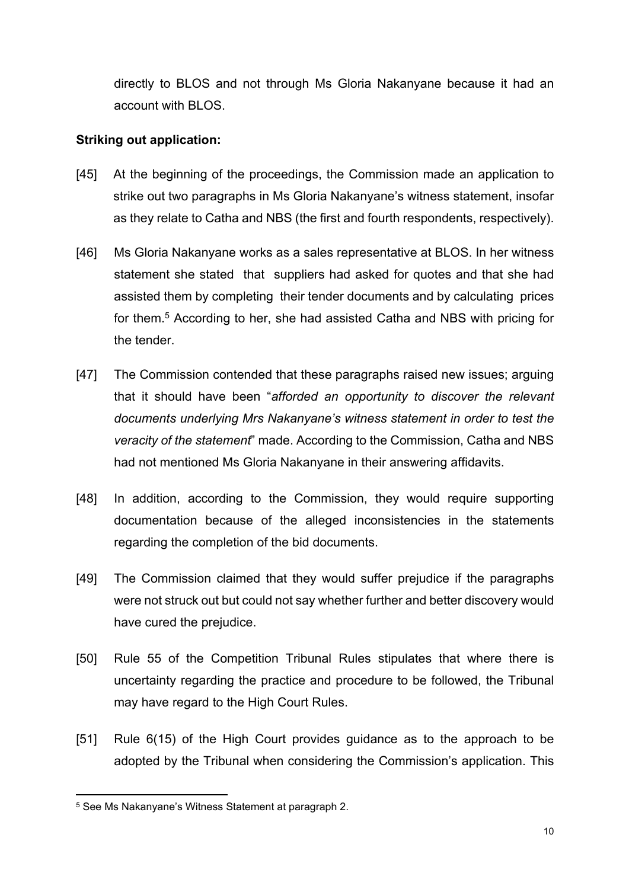directly to BLOS and not through Ms Gloria Nakanyane because it had an account with BLOS.

# **Striking out application:**

- [45] At the beginning of the proceedings, the Commission made an application to strike out two paragraphs in Ms Gloria Nakanyane's witness statement, insofar as they relate to Catha and NBS (the first and fourth respondents, respectively).
- [46] Ms Gloria Nakanyane works as a sales representative at BLOS. In her witness statement she stated that suppliers had asked for quotes and that she had assisted them by completing their tender documents and by calculating prices for them.<sup>5</sup> According to her, she had assisted Catha and NBS with pricing for the tender.
- [47] The Commission contended that these paragraphs raised new issues; arguing that it should have been "*afforded an opportunity to discover the relevant documents underlying Mrs Nakanyane's witness statement in order to test the veracity of the statement*" made. According to the Commission, Catha and NBS had not mentioned Ms Gloria Nakanyane in their answering affidavits.
- [48] In addition, according to the Commission, they would require supporting documentation because of the alleged inconsistencies in the statements regarding the completion of the bid documents.
- [49] The Commission claimed that they would suffer prejudice if the paragraphs were not struck out but could not say whether further and better discovery would have cured the prejudice.
- [50] Rule 55 of the Competition Tribunal Rules stipulates that where there is uncertainty regarding the practice and procedure to be followed, the Tribunal may have regard to the High Court Rules.
- [51] Rule 6(15) of the High Court provides guidance as to the approach to be adopted by the Tribunal when considering the Commission's application. This

<sup>5</sup> See Ms Nakanyane's Witness Statement at paragraph 2.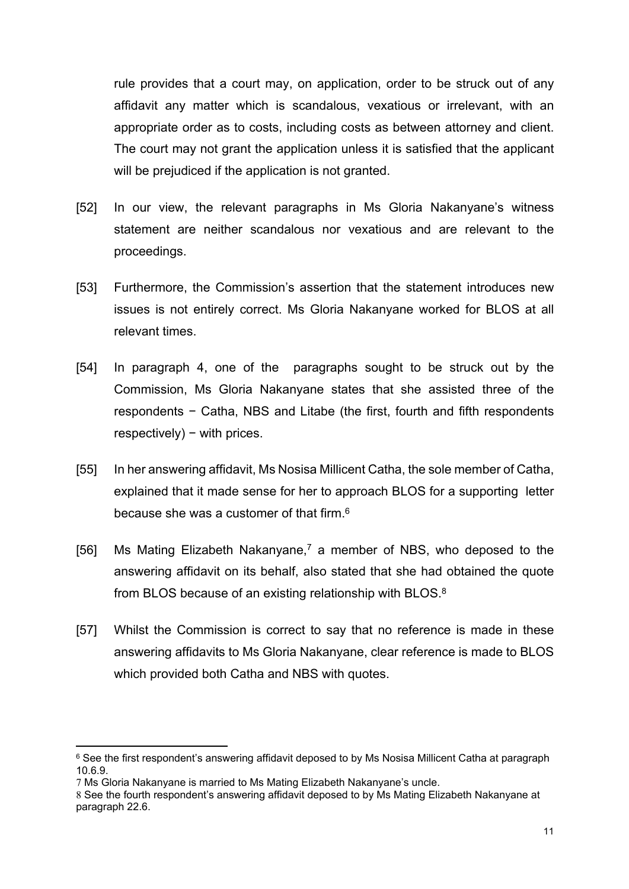rule provides that a court may, on application, order to be struck out of any affidavit any matter which is scandalous, vexatious or irrelevant, with an appropriate order as to costs, including costs as between attorney and client. The court may not grant the application unless it is satisfied that the applicant will be prejudiced if the application is not granted.

- [52] In our view, the relevant paragraphs in Ms Gloria Nakanyane's witness statement are neither scandalous nor vexatious and are relevant to the proceedings.
- [53] Furthermore, the Commission's assertion that the statement introduces new issues is not entirely correct. Ms Gloria Nakanyane worked for BLOS at all relevant times.
- [54] In paragraph 4, one of the paragraphs sought to be struck out by the Commission, Ms Gloria Nakanyane states that she assisted three of the respondents − Catha, NBS and Litabe (the first, fourth and fifth respondents respectively) – with prices.
- [55] In her answering affidavit, Ms Nosisa Millicent Catha, the sole member of Catha, explained that it made sense for her to approach BLOS for a supporting letter because she was a customer of that firm.<sup>6</sup>
- [56] Ms Mating Elizabeth Nakanyane,<sup>7</sup> a member of NBS, who deposed to the answering affidavit on its behalf, also stated that she had obtained the quote from BLOS because of an existing relationship with BLOS.<sup>8</sup>
- [57] Whilst the Commission is correct to say that no reference is made in these answering affidavits to Ms Gloria Nakanyane, clear reference is made to BLOS which provided both Catha and NBS with quotes.

 $^6$  See the first respondent's answering affidavit deposed to by Ms Nosisa Millicent Catha at paragraph 10.6.9.

<sup>7</sup> Ms Gloria Nakanyane is married to Ms Mating Elizabeth Nakanyane's uncle.

<sup>8</sup> See the fourth respondent's answering affidavit deposed to by Ms Mating Elizabeth Nakanyane at paragraph 22.6.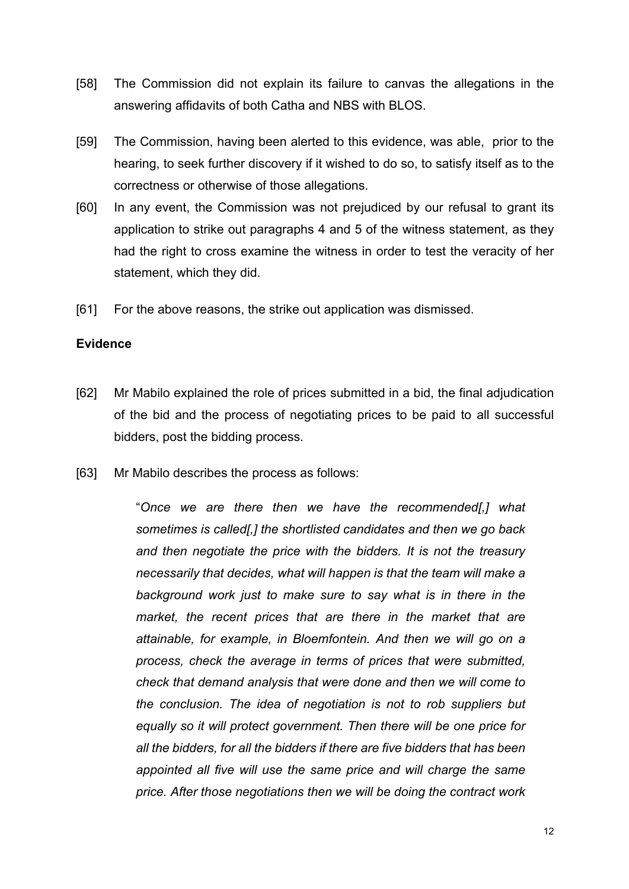- [58] The Commission did not explain its failure to canvas the allegations in the answering affidavits of both Catha and NBS with BLOS.
- [59] The Commission, having been alerted to this evidence, was able, prior to the hearing, to seek further discovery if it wished to do so, to satisfy itself as to the correctness or otherwise of those allegations.
- [60] In any event, the Commission was not prejudiced by our refusal to grant its application to strike out paragraphs 4 and 5 of the witness statement, as they had the right to cross examine the witness in order to test the veracity of her statement, which they did.
- [61] For the above reasons, the strike out application was dismissed.

#### **Evidence**

- [62] Mr Mabilo explained the role of prices submitted in a bid, the final adjudication of the bid and the process of negotiating prices to be paid to all successful bidders, post the bidding process.
- [63] Mr Mabilo describes the process as follows:

"*Once we are there then we have the recommended[,] what sometimes is called[,] the shortlisted candidates and then we go back and then negotiate the price with the bidders. It is not the treasury necessarily that decides, what will happen is that the team will make a background work just to make sure to say what is in there in the market, the recent prices that are there in the market that are attainable, for example, in Bloemfontein. And then we will go on a process, check the average in terms of prices that were submitted, check that demand analysis that were done and then we will come to the conclusion. The idea of negotiation is not to rob suppliers but equally so it will protect government. Then there will be one price for all the bidders, for all the bidders if there are five bidders that has been appointed all five will use the same price and will charge the same price. After those negotiations then we will be doing the contract work*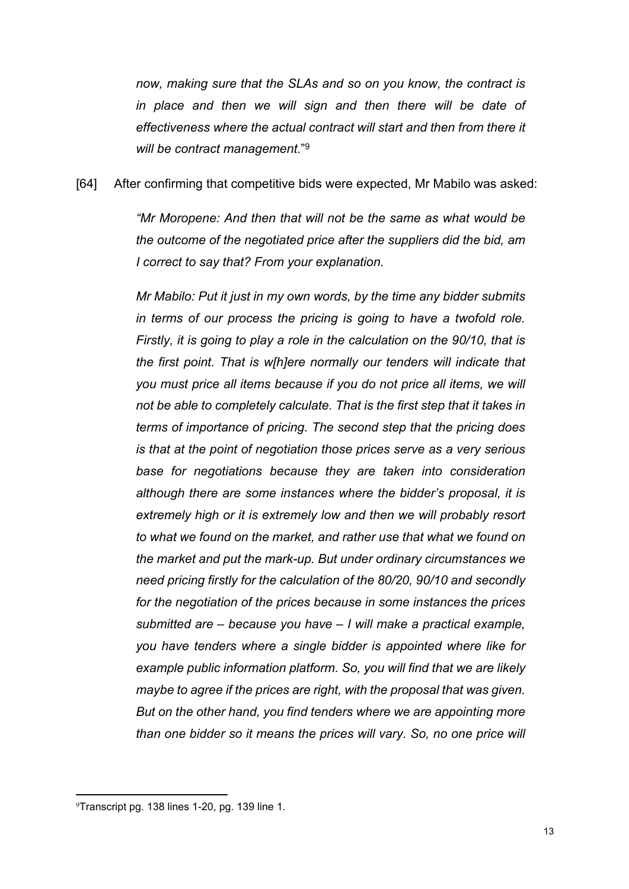*now, making sure that the SLAs and so on you know, the contract is in place and then we will sign and then there will be date of effectiveness where the actual contract will start and then from there it will be contract management*."<sup>9</sup>

[64] After confirming that competitive bids were expected, Mr Mabilo was asked:

*"Mr Moropene: And then that will not be the same as what would be the outcome of the negotiated price after the suppliers did the bid, am I correct to say that? From your explanation.*

*Mr Mabilo: Put it just in my own words, by the time any bidder submits in terms of our process the pricing is going to have a twofold role. Firstly, it is going to play a role in the calculation on the 90/10, that is the first point. That is w[h]ere normally our tenders will indicate that you must price all items because if you do not price all items, we will not be able to completely calculate. That is the first step that it takes in terms of importance of pricing. The second step that the pricing does is that at the point of negotiation those prices serve as a very serious base for negotiations because they are taken into consideration although there are some instances where the bidder's proposal, it is extremely high or it is extremely low and then we will probably resort to what we found on the market, and rather use that what we found on the market and put the mark-up. But under ordinary circumstances we need pricing firstly for the calculation of the 80/20, 90/10 and secondly for the negotiation of the prices because in some instances the prices submitted are – because you have – I will make a practical example, you have tenders where a single bidder is appointed where like for example public information platform. So, you will find that we are likely maybe to agree if the prices are right, with the proposal that was given. But on the other hand, you find tenders where we are appointing more than one bidder so it means the prices will vary. So, no one price will* 

<sup>9</sup>Transcript pg. 138 lines 1-20, pg. 139 line 1.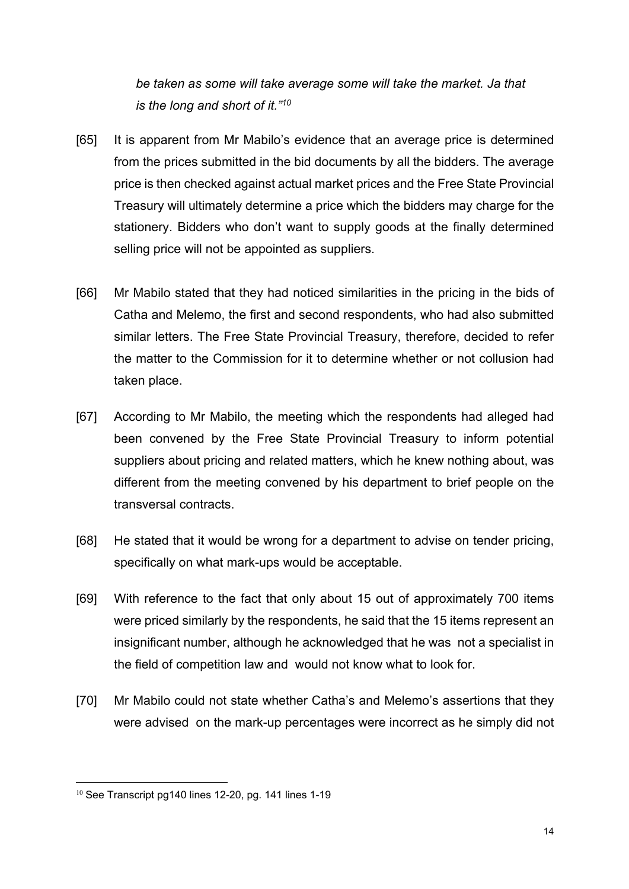*be taken as some will take average some will take the market. Ja that is the long and short of it."<sup>10</sup>*

- [65] It is apparent from Mr Mabilo's evidence that an average price is determined from the prices submitted in the bid documents by all the bidders. The average price is then checked against actual market prices and the Free State Provincial Treasury will ultimately determine a price which the bidders may charge for the stationery. Bidders who don't want to supply goods at the finally determined selling price will not be appointed as suppliers.
- [66] Mr Mabilo stated that they had noticed similarities in the pricing in the bids of Catha and Melemo, the first and second respondents, who had also submitted similar letters. The Free State Provincial Treasury, therefore, decided to refer the matter to the Commission for it to determine whether or not collusion had taken place.
- [67] According to Mr Mabilo, the meeting which the respondents had alleged had been convened by the Free State Provincial Treasury to inform potential suppliers about pricing and related matters, which he knew nothing about, was different from the meeting convened by his department to brief people on the transversal contracts.
- [68] He stated that it would be wrong for a department to advise on tender pricing, specifically on what mark-ups would be acceptable.
- [69] With reference to the fact that only about 15 out of approximately 700 items were priced similarly by the respondents, he said that the 15 items represent an insignificant number, although he acknowledged that he was not a specialist in the field of competition law and would not know what to look for.
- [70] Mr Mabilo could not state whether Catha's and Melemo's assertions that they were advised on the mark-up percentages were incorrect as he simply did not

<sup>&</sup>lt;sup>10</sup> See Transcript pg140 lines 12-20, pg. 141 lines 1-19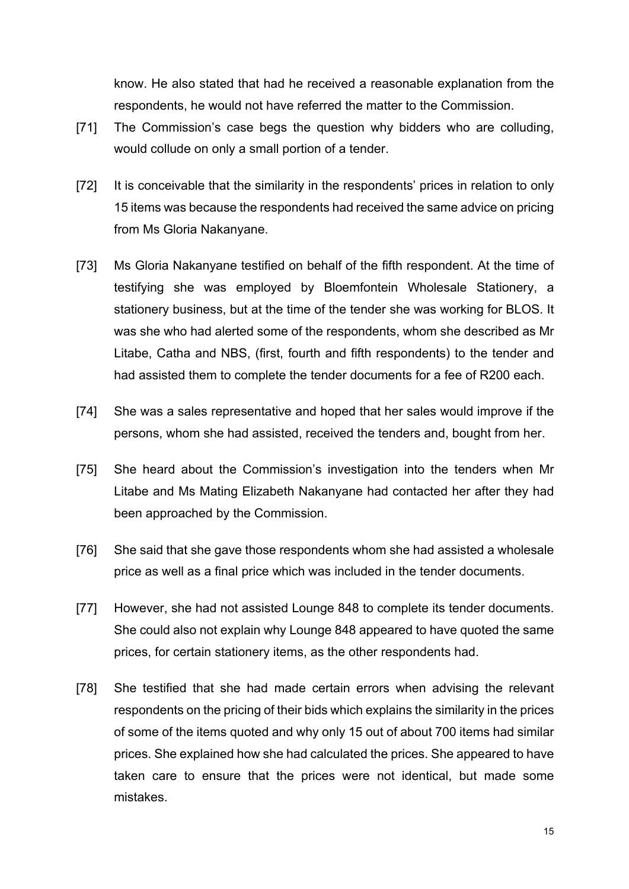know. He also stated that had he received a reasonable explanation from the respondents, he would not have referred the matter to the Commission.

- [71] The Commission's case begs the question why bidders who are colluding, would collude on only a small portion of a tender.
- [72] It is conceivable that the similarity in the respondents' prices in relation to only 15 items was because the respondents had received the same advice on pricing from Ms Gloria Nakanyane.
- [73] Ms Gloria Nakanyane testified on behalf of the fifth respondent. At the time of testifying she was employed by Bloemfontein Wholesale Stationery, a stationery business, but at the time of the tender she was working for BLOS. It was she who had alerted some of the respondents, whom she described as Mr Litabe, Catha and NBS, (first, fourth and fifth respondents) to the tender and had assisted them to complete the tender documents for a fee of R200 each.
- [74] She was a sales representative and hoped that her sales would improve if the persons, whom she had assisted, received the tenders and, bought from her.
- [75] She heard about the Commission's investigation into the tenders when Mr Litabe and Ms Mating Elizabeth Nakanyane had contacted her after they had been approached by the Commission.
- [76] She said that she gave those respondents whom she had assisted a wholesale price as well as a final price which was included in the tender documents.
- [77] However, she had not assisted Lounge 848 to complete its tender documents. She could also not explain why Lounge 848 appeared to have quoted the same prices, for certain stationery items, as the other respondents had.
- [78] She testified that she had made certain errors when advising the relevant respondents on the pricing of their bids which explains the similarity in the prices of some of the items quoted and why only 15 out of about 700 items had similar prices. She explained how she had calculated the prices. She appeared to have taken care to ensure that the prices were not identical, but made some mistakes.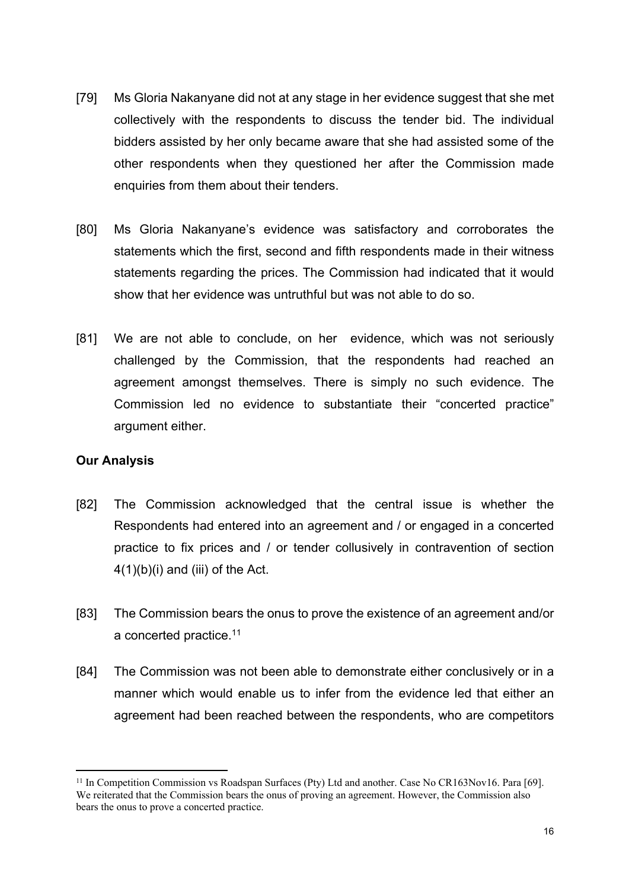- [79] Ms Gloria Nakanyane did not at any stage in her evidence suggest that she met collectively with the respondents to discuss the tender bid. The individual bidders assisted by her only became aware that she had assisted some of the other respondents when they questioned her after the Commission made enquiries from them about their tenders.
- [80] Ms Gloria Nakanyane's evidence was satisfactory and corroborates the statements which the first, second and fifth respondents made in their witness statements regarding the prices. The Commission had indicated that it would show that her evidence was untruthful but was not able to do so.
- [81] We are not able to conclude, on her evidence, which was not seriously challenged by the Commission, that the respondents had reached an agreement amongst themselves. There is simply no such evidence. The Commission led no evidence to substantiate their "concerted practice" argument either.

# **Our Analysis**

- [82] The Commission acknowledged that the central issue is whether the Respondents had entered into an agreement and / or engaged in a concerted practice to fix prices and / or tender collusively in contravention of section  $4(1)(b)(i)$  and (iii) of the Act.
- [83] The Commission bears the onus to prove the existence of an agreement and/or a concerted practice.<sup>11</sup>
- [84] The Commission was not been able to demonstrate either conclusively or in a manner which would enable us to infer from the evidence led that either an agreement had been reached between the respondents, who are competitors

<sup>11</sup> In Competition Commission vs Roadspan Surfaces (Pty) Ltd and another. Case No CR163Nov16. Para [69]. We reiterated that the Commission bears the onus of proving an agreement. However, the Commission also bears the onus to prove a concerted practice.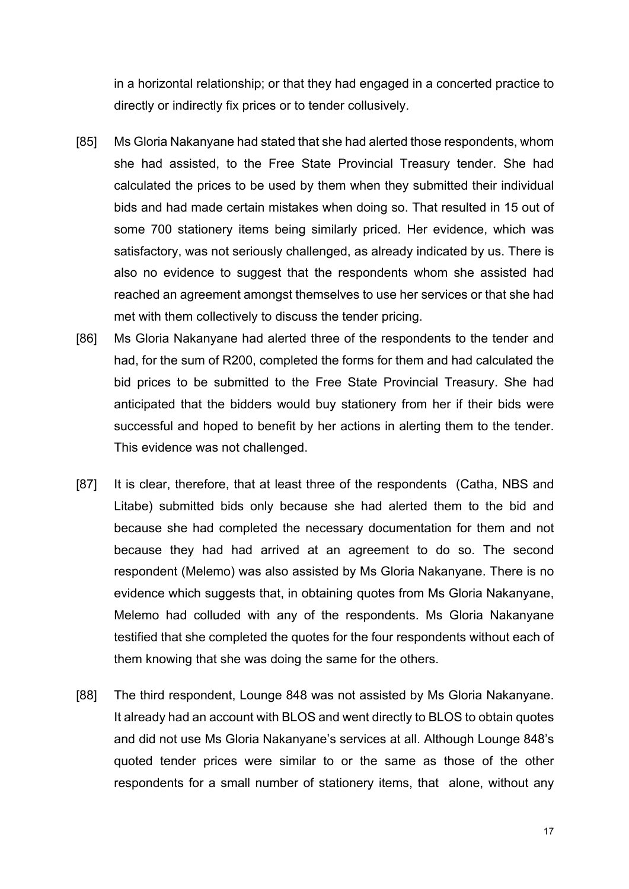in a horizontal relationship; or that they had engaged in a concerted practice to directly or indirectly fix prices or to tender collusively.

- [85] Ms Gloria Nakanyane had stated that she had alerted those respondents, whom she had assisted, to the Free State Provincial Treasury tender. She had calculated the prices to be used by them when they submitted their individual bids and had made certain mistakes when doing so. That resulted in 15 out of some 700 stationery items being similarly priced. Her evidence, which was satisfactory, was not seriously challenged, as already indicated by us. There is also no evidence to suggest that the respondents whom she assisted had reached an agreement amongst themselves to use her services or that she had met with them collectively to discuss the tender pricing.
- [86] Ms Gloria Nakanyane had alerted three of the respondents to the tender and had, for the sum of R200, completed the forms for them and had calculated the bid prices to be submitted to the Free State Provincial Treasury. She had anticipated that the bidders would buy stationery from her if their bids were successful and hoped to benefit by her actions in alerting them to the tender. This evidence was not challenged.
- [87] It is clear, therefore, that at least three of the respondents (Catha, NBS and Litabe) submitted bids only because she had alerted them to the bid and because she had completed the necessary documentation for them and not because they had had arrived at an agreement to do so. The second respondent (Melemo) was also assisted by Ms Gloria Nakanyane. There is no evidence which suggests that, in obtaining quotes from Ms Gloria Nakanyane, Melemo had colluded with any of the respondents. Ms Gloria Nakanyane testified that she completed the quotes for the four respondents without each of them knowing that she was doing the same for the others.
- [88] The third respondent, Lounge 848 was not assisted by Ms Gloria Nakanyane. It already had an account with BLOS and went directly to BLOS to obtain quotes and did not use Ms Gloria Nakanyane's services at all. Although Lounge 848's quoted tender prices were similar to or the same as those of the other respondents for a small number of stationery items, that alone, without any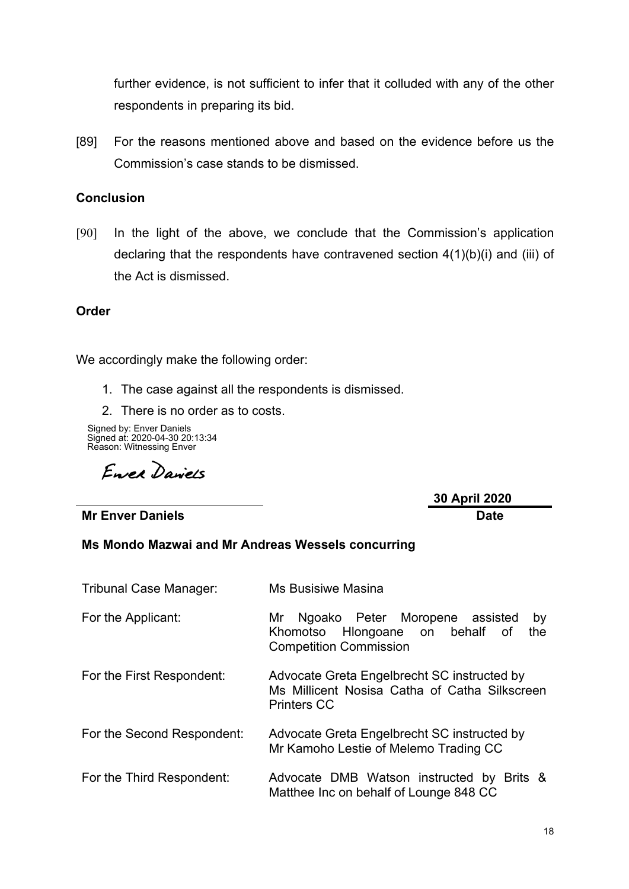further evidence, is not sufficient to infer that it colluded with any of the other respondents in preparing its bid.

[89] For the reasons mentioned above and based on the evidence before us the Commission's case stands to be dismissed.

### **Conclusion**

[90] In the light of the above, we conclude that the Commission's application declaring that the respondents have contravened section 4(1)(b)(i) and (iii) of the Act is dismissed.

#### **Order**

We accordingly make the following order:

- 1. The case against all the respondents is dismissed.
- 2. There is no order as to costs.

Reason: Witnessing Enver Signed by: Enver Daniels Signed at: 2020-04-30 20:13:34

Enrea Daniels

**Mr Enver Daniels Date**

**30 April 2020**

#### **Ms Mondo Mazwai and Mr Andreas Wessels concurring**

| <b>Tribunal Case Manager:</b> | <b>Ms Busisiwe Masina</b>                                                                                             |
|-------------------------------|-----------------------------------------------------------------------------------------------------------------------|
| For the Applicant:            | Ngoako Peter Moropene assisted<br>Mr<br>by<br>Khomotso Hlongoane on behalf of<br>the<br><b>Competition Commission</b> |
| For the First Respondent:     | Advocate Greta Engelbrecht SC instructed by<br>Ms Millicent Nosisa Catha of Catha Silkscreen<br><b>Printers CC</b>    |
| For the Second Respondent:    | Advocate Greta Engelbrecht SC instructed by<br>Mr Kamoho Lestie of Melemo Trading CC                                  |
| For the Third Respondent:     | Advocate DMB Watson instructed by Brits &<br>Matthee Inc on behalf of Lounge 848 CC                                   |